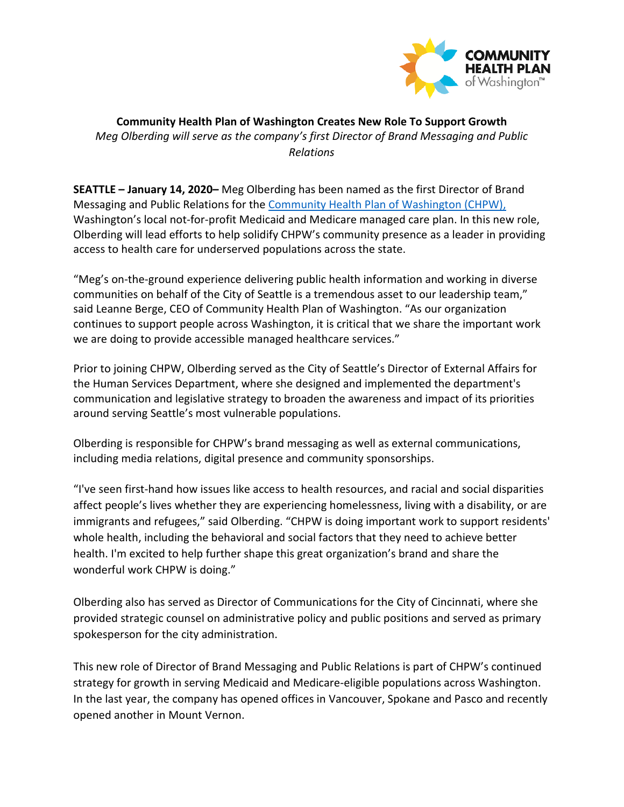

**Community Health Plan of Washington Creates New Role To Support Growth** *Meg Olberding will serve as the company's first Director of Brand Messaging and Public Relations*

**SEATTLE – January 14, 2020–** Meg Olberding has been named as the first Director of Brand Messaging and Public Relations for the [Community Health Plan of Washington \(CHPW\),](http://www.chpw.org/) Washington's local not-for-profit Medicaid and Medicare managed care plan. In this new role, Olberding will lead efforts to help solidify CHPW's community presence as a leader in providing access to health care for underserved populations across the state.

"Meg's on-the-ground experience delivering public health information and working in diverse communities on behalf of the City of Seattle is a tremendous asset to our leadership team," said Leanne Berge, CEO of Community Health Plan of Washington. "As our organization continues to support people across Washington, it is critical that we share the important work we are doing to provide accessible managed healthcare services."

Prior to joining CHPW, Olberding served as the City of Seattle's Director of External Affairs for the Human Services Department, where she designed and implemented the department's communication and legislative strategy to broaden the awareness and impact of its priorities around serving Seattle's most vulnerable populations.

Olberding is responsible for CHPW's brand messaging as well as external communications, including media relations, digital presence and community sponsorships.

"I've seen first-hand how issues like access to health resources, and racial and social disparities affect people's lives whether they are experiencing homelessness, living with a disability, or are immigrants and refugees," said Olberding. "CHPW is doing important work to support residents' whole health, including the behavioral and social factors that they need to achieve better health. I'm excited to help further shape this great organization's brand and share the wonderful work CHPW is doing."

Olberding also has served as Director of Communications for the City of Cincinnati, where she provided strategic counsel on administrative policy and public positions and served as primary spokesperson for the city administration.

This new role of Director of Brand Messaging and Public Relations is part of CHPW's continued strategy for growth in serving Medicaid and Medicare-eligible populations across Washington. In the last year, the company has opened offices in Vancouver, Spokane and Pasco and recently opened another in Mount Vernon.